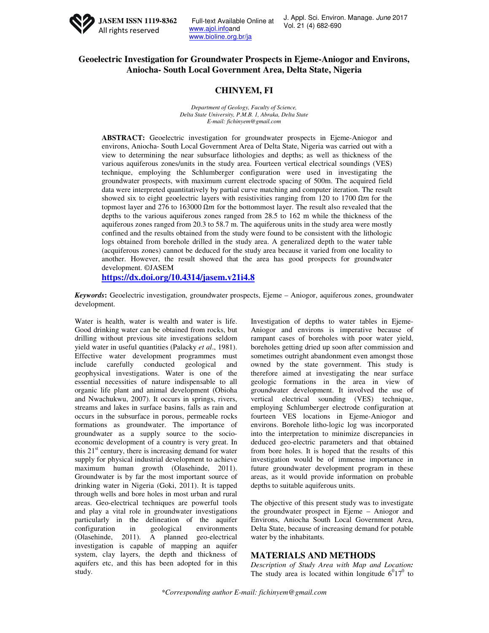

Full-text Available Online at www.ajol.infoand www.bioline.org.br/ja

# **Geoelectric Investigation for Groundwater Prospects in Ejeme-Aniogor and Environs, Aniocha- South Local Government Area, Delta State, Nigeria**

## **CHINYEM, FI**

*Department of Geology, Faculty of Science, Delta State University, P.M.B. 1, Abraka, Delta State E-mail: fichinyem@gmail.com* 

**ABSTRACT:** Geoelectric investigation for groundwater prospects in Ejeme-Aniogor and environs, Aniocha- South Local Government Area of Delta State, Nigeria was carried out with a view to determining the near subsurface lithologies and depths; as well as thickness of the various aquiferous zones/units in the study area. Fourteen vertical electrical soundings (VES) technique, employing the Schlumberger configuration were used in investigating the groundwater prospects, with maximum current electrode spacing of 500m. The acquired field data were interpreted quantitatively by partial curve matching and computer iteration. The result showed six to eight geoelectric layers with resistivities ranging from 120 to 1700  $\Omega m$  for the topmost layer and 276 to 163000  $\Omega m$  for the bottommost layer. The result also revealed that the depths to the various aquiferous zones ranged from 28.5 to 162 m while the thickness of the aquiferous zones ranged from 20.3 to 58.7 m. The aquiferous units in the study area were mostly confined and the results obtained from the study were found to be consistent with the lithologic logs obtained from borehole drilled in the study area. A generalized depth to the water table (acquiferous zones) cannot be deduced for the study area because it varied from one locality to another. However, the result showed that the area has good prospects for groundwater development. ©JASEM

**https://dx.doi.org/10.4314/jasem.v21i4.8**

*Keywords***:** Geoelectric investigation, groundwater prospects, Ejeme – Aniogor, aquiferous zones, groundwater development.

Water is health, water is wealth and water is life. Good drinking water can be obtained from rocks, but drilling without previous site investigations seldom yield water in useful quantities (Palacky *et al*., 1981). Effective water development programmes must include carefully conducted geological and geophysical investigations. Water is one of the essential necessities of nature indispensable to all organic life plant and animal development (Obioha and Nwachukwu, 2007). It occurs in springs, rivers, streams and lakes in surface basins, falls as rain and occurs in the subsurface in porous, permeable rocks formations as groundwater. The importance of groundwater as a supply source to the socioeconomic development of a country is very great. In this  $21<sup>st</sup>$  century, there is increasing demand for water supply for physical industrial development to achieve maximum human growth (Olasehinde, 2011). Groundwater is by far the most important source of drinking water in Nigeria (Goki, 2011). It is tapped through wells and bore holes in most urban and rural areas. Geo-electrical techniques are powerful tools and play a vital role in groundwater investigations particularly in the delineation of the aquifer configuration in geological environments (Olasehinde, 2011). A planned geo-electrical investigation is capable of mapping an aquifer system, clay layers, the depth and thickness of aquifers etc, and this has been adopted for in this study.

Investigation of depths to water tables in Ejeme-Aniogor and environs is imperative because of rampant cases of boreholes with poor water yield, boreholes getting dried up soon after commission and sometimes outright abandonment even amongst those owned by the state government. This study is therefore aimed at investigating the near surface geologic formations in the area in view of groundwater development. It involved the use of vertical electrical sounding (VES) technique, employing Schlumberger electrode configuration at fourteen VES locations in Ejeme-Aniogor and environs. Borehole litho-logic log was incorporated into the interpretation to minimize discrepancies in deduced geo-electric parameters and that obtained from bore holes. It is hoped that the results of this investigation would be of immense importance in future groundwater development program in these areas, as it would provide information on probable depths to suitable aquiferous units.

The objective of this present study was to investigate the groundwater prospect in Ejeme – Aniogor and Environs, Aniocha South Local Government Area, Delta State, because of increasing demand for potable water by the inhabitants.

### **MATERIALS AND METHODS**

*Description of Study Area with Map and Location:*  The study area is located within longitude  $6^017^0$  to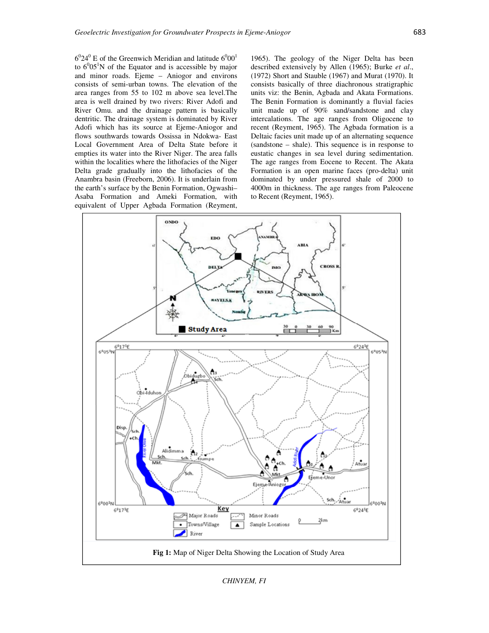$6^024^0$  E of the Greenwich Meridian and latitude  $6^000^1$ to  $6^{0}05^{1}N$  of the Equator and is accessible by major and minor roads. Ejeme – Aniogor and environs consists of semi-urban towns. The elevation of the area ranges from 55 to 102 m above sea level.The area is well drained by two rivers: River Adofi and River Omu. and the drainage pattern is basically dentritic. The drainage system is dominated by River Adofi which has its source at Ejeme-Aniogor and flows southwards towards Ossissa in Ndokwa- East Local Government Area of Delta State before it empties its water into the River Niger. The area falls within the localities where the lithofacies of the Niger Delta grade gradually into the lithofacies of the Anambra basin (Freeborn, 2006). It is underlain from the earth's surface by the Benin Formation, Ogwashi– Asaba Formation and Ameki Formation, with equivalent of Upper Agbada Formation (Reyment,

1965). The geology of the Niger Delta has been described extensively by Allen (1965); Burke *et al*., (1972) Short and Stauble (1967) and Murat (1970). It consists basically of three diachronous stratigraphic units viz: the Benin, Agbada and Akata Formations. The Benin Formation is dominantly a fluvial facies unit made up of 90% sand/sandstone and clay intercalations. The age ranges from Oligocene to recent (Reyment, 1965). The Agbada formation is a Deltaic facies unit made up of an alternating sequence (sandstone – shale). This sequence is in response to eustatic changes in sea level during sedimentation. The age ranges from Eocene to Recent. The Akata Formation is an open marine faces (pro-delta) unit dominated by under pressured shale of 2000 to 4000m in thickness. The age ranges from Paleocene to Recent (Reyment, 1965).



*CHINYEM, FI*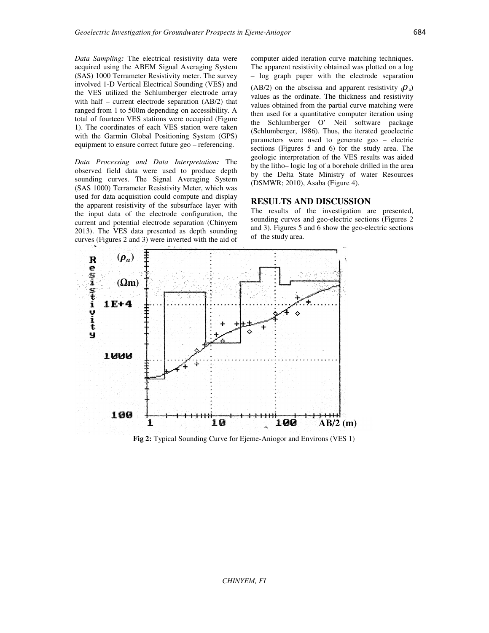*Data Sampling:* The electrical resistivity data were acquired using the ABEM Signal Averaging System (SAS) 1000 Terrameter Resistivity meter. The survey involved 1-D Vertical Electrical Sounding (VES) and the VES utilized the Schlumberger electrode array with half – current electrode separation (AB/2) that ranged from 1 to 500m depending on accessibility. A total of fourteen VES stations were occupied (Figure 1). The coordinates of each VES station were taken with the Garmin Global Positioning System (GPS) equipment to ensure correct future geo – referencing.

*Data Processing and Data Interpretation:* The observed field data were used to produce depth sounding curves. The Signal Averaging System (SAS 1000) Terrameter Resistivity Meter, which was used for data acquisition could compute and display the apparent resistivity of the subsurface layer with the input data of the electrode configuration, the current and potential electrode separation (Chinyem 2013). The VES data presented as depth sounding curves (Figures 2 and 3) were inverted with the aid of

computer aided iteration curve matching techniques. The apparent resistivity obtained was plotted on a log – log graph paper with the electrode separation (AB/2) on the abscissa and apparent resistivity  $(\rho_a)$ values as the ordinate. The thickness and resistivity values obtained from the partial curve matching were then used for a quantitative computer iteration using the Schlumberger O' Neil software package (Schlumberger, 1986). Thus, the iterated geoelectric parameters were used to generate geo – electric sections (Figures 5 and 6) for the study area. The geologic interpretation of the VES results was aided by the litho– logic log of a borehole drilled in the area by the Delta State Ministry of water Resources (DSMWR; 2010), Asaba (Figure 4).

#### **RESULTS AND DISCUSSION**

The results of the investigation are presented, sounding curves and geo-electric sections (Figures 2 and 3). Figures 5 and 6 show the geo-electric sections of the study area.



**Fig 2:** Typical Sounding Curve for Ejeme-Aniogor and Environs (VES 1)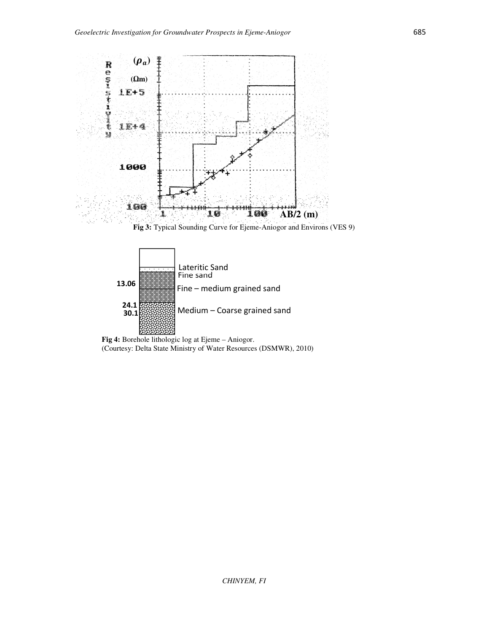

**Fig 3:** Typical Sounding Curve for Ejeme-Aniogor and Environs (VES 9)



**Fig 4:** Borehole lithologic log at Ejeme – Aniogor. (Courtesy: Delta State Ministry of Water Resources (DSMWR), 2010)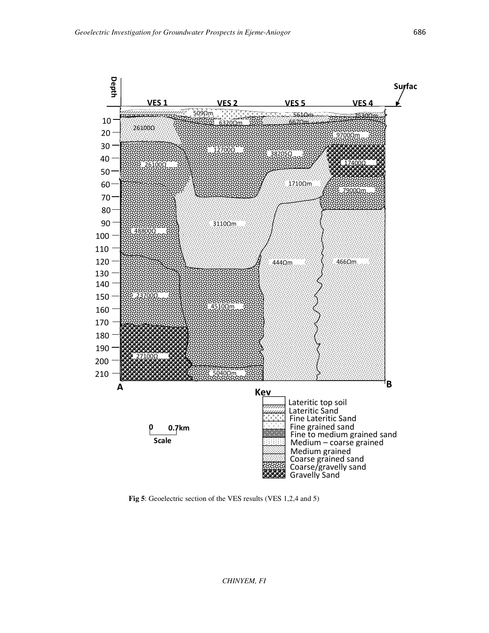

**Fig 5**: Geoelectric section of the VES results (VES 1,2,4 and 5)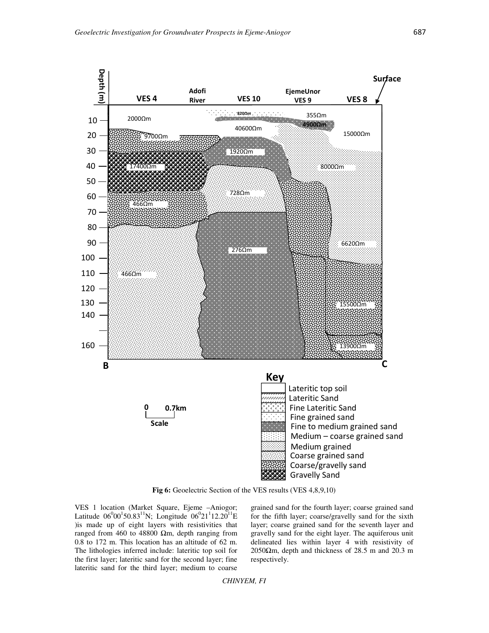

Fig 6: Geoelectric Section of the VES results (VES 4,8,9,10)

VES 1 location (Market Square, Ejeme –Aniogor; Latitude  $06^{0}00^{1}50.83^{11}N$ ; Longitude  $06^{0}21^{1}12.20^{11}E$ )is made up of eight layers with resistivities that ranged from 460 to 48800 Ωm, depth ranging from 0.8 to 172 m. This location has an altitude of 62 m. The lithologies inferred include: lateritic top soil for the first layer; lateritic sand for the second layer; fine lateritic sand for the third layer; medium to coarse

grained sand for the fourth layer; coarse grained sand for the fifth layer; coarse/gravelly sand for the sixth layer; coarse grained sand for the seventh layer and gravelly sand for the eight layer. The aquiferous unit delineated lies within layer 4 with resistivity of  $2050\Omega$ m, depth and thickness of 28.5 m and 20.3 m respectively.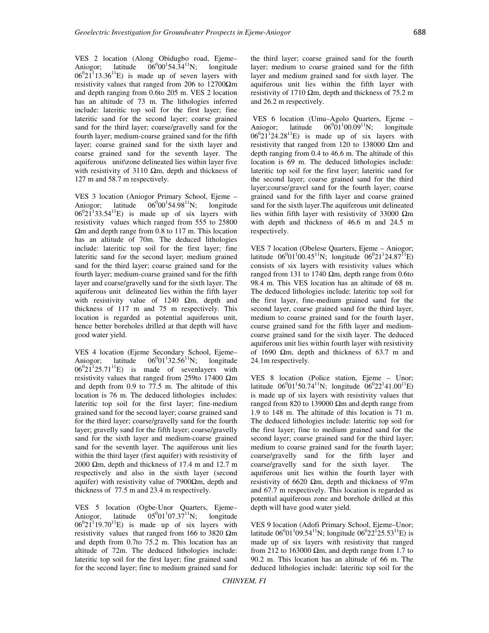VES 2 location (Along Obidugbo road, Ejeme– Aniogor; latitude  $06^000^154.34^{11}N$ ; longitude  $06^{0}21^{1}13.36^{11}E$  is made up of seven layers with resistivity values that ranged from 206 to  $12700\Omega$ m and depth ranging from 0.6to 205 m. VES 2 location has an altitude of 73 m. The lithologies inferred include: lateritic top soil for the first layer; fine lateritic sand for the second layer; coarse grained sand for the third layer; coarse/gravelly sand for the fourth layer; medium-coarse grained sand for the fifth layer; coarse grained sand for the sixth layer and coarse grained sand for the seventh layer. The aquiferous unit\zone delineated lies within layer five with resistivity of 3110  $\Omega$ m, depth and thickness of 127 m and 58.7 m respectively.

VES 3 location (Aniogor Primary School, Ejeme – Aniogor: latitude  $00^154.98^{11}$ N; longitude  $06^{0}21^{1}33.54^{11}E$  is made up of six layers with resistivity values which ranged from 555 to 25800 Ωm and depth range from 0.8 to 117 m. This location has an altitude of 70m. The deduced lithologies include: lateritic top soil for the first layer; fine lateritic sand for the second layer; medium grained sand for the third layer; coarse grained sand for the fourth layer; medium-coarse grained sand for the fifth layer and coarse/gravelly sand for the sixth layer. The aquiferous unit delineated lies within the fifth layer with resistivity value of 1240 Ωm, depth and thickness of 117 m and 75 m respectively. This location is regarded as potential aquiferous unit, hence better boreholes drilled at that depth will have good water yield.

VES 4 location (Ejeme Secondary School, Ejeme– Aniogor; latitude  $01^132.56^{11}N$ ; longitude  $06^{0}21^{1}25.71^{11}E$  is made of sevenlayers with resistivity values that ranged from 259to 17400 Ωm and depth from 0.9 to 77.5 m. The altitude of this location is 76 m. The deduced lithologies includes: lateritic top soil for the first layer; fine-medium grained sand for the second layer; coarse grained sand for the third layer; coarse/gravelly sand for the fourth layer; gravelly sand for the fifth layer; coarse/gravelly sand for the sixth layer and medium-coarse grained sand for the seventh layer. The aquiferous unit lies within the third layer (first aquifer) with resistivity of 2000  $\Omega$ m, depth and thickness of 17.4 m and 12.7 m respectively and also in the sixth layer (second aquifer) with resistivity value of  $7900\Omega$ m, depth and thickness of 77.5 m and 23.4 m respectively.

VES 5 location (Ogbe-Unor Quarters, Ejeme– Aniogor, latitude  $01^{1}07.37^{11}N$ ; longitude  $06^{0}21^{1}19.70^{11}E$  is made up of six layers with resistivity values that ranged from 166 to 3820  $\Omega$ m and depth from 0.7to 75.2 m. This location has an altitude of 72m. The deduced lithologies include: lateritic top soil for the first layer; fine grained sand for the second layer; fine to medium grained sand for the third layer; coarse grained sand for the fourth layer; medium to coarse grained sand for the fifth layer and medium grained sand for sixth layer. The aquiferous unit lies within the fifth layer with resistivity of 1710  $\Omega$ m, depth and thickness of 75.2 m and 26.2 m respectively.

VES 6 location (Umu–Agolo Quarters, Ejeme –<br>Aniogor; latitude  $06^{0}01^{1}00.09^{11}N$ ; longitude Aniogor; latitude  $06^001^100.09^{11}$ N; longitude  $06^021^124.28^{11}E$  is made up of six layers with resistivity that ranged from 120 to 138000  $\Omega$ m and depth ranging from 0.4 to 46.6 m. The altitude of this location is 69 m. The deduced lithologies include: lateritic top soil for the first layer; lateritic sand for the second layer; coarse grained sand for the third layer;course/gravel sand for the fourth layer; coarse grained sand for the fifth layer and coarse grained sand for the sixth layer.The aquiferous unit delineated lies within fifth layer with resistivity of 33000  $\Omega$ m with depth and thickness of 46.6 m and 24.5 m respectively.

VES 7 location (Obelese Quarters, Ejeme – Aniogor; latitude  $06^{0}01^{1}00.45^{11}N$ ; longitude  $06^{0}21^{1}24.87^{11}E$ ) consists of six layers with resistivity values which ranged from 131 to 1740  $\Omega$ m, depth range from 0.6to 98.4 m. This VES location has an altitude of 68 m. The deduced lithologies include: lateritic top soil for the first layer, fine-medium grained sand for the second layer, coarse grained sand for the third layer, medium to coarse grained sand for the fourth layer, coarse grained sand for the fifth layer and mediumcoarse grained sand for the sixth layer. The deduced aquiferous unit lies within fourth layer with resistivity of 1690  $\Omega$ m, depth and thickness of 63.7 m and 24.1m respectively.

VES 8 location (Police station, Ejeme – Unor; latitude  $06^{0}01^{1}50.74^{11}N$ ; longitude  $06^{0}22^{1}41.00^{11}E$ ) is made up of six layers with resistivity values that ranged from 820 to 139000 Ωm and depth range from 1.9 to 148 m. The altitude of this location is 71 m. The deduced lithologies include: lateritic top soil for the first layer; fine to medium grained sand for the second layer; coarse grained sand for the third layer; medium to coarse grained sand for the fourth layer; coarse/gravelly sand for the fifth layer and coarse/gravelly sand for the sixth layer. The aquiferous unit lies within the fourth layer with resistivity of 6620  $\Omega$ m, depth and thickness of 97m and 67.7 m respectively. This location is regarded as potential aquiferous zone and borehole drilled at this depth will have good water yield.

VES 9 location (Adofi Primary School, Ejeme–Unor; latitude  $06^{0}01^{1}09.54^{11}N$ ; longitude  $06^{0}22^{1}25.53^{11}E$ ) is made up of six layers with resistivity that ranged from 212 to 163000  $\Omega$ m, and depth range from 1.7 to 90.2 m. This location has an altitude of 66 m. The deduced lithologies include: lateritic top soil for the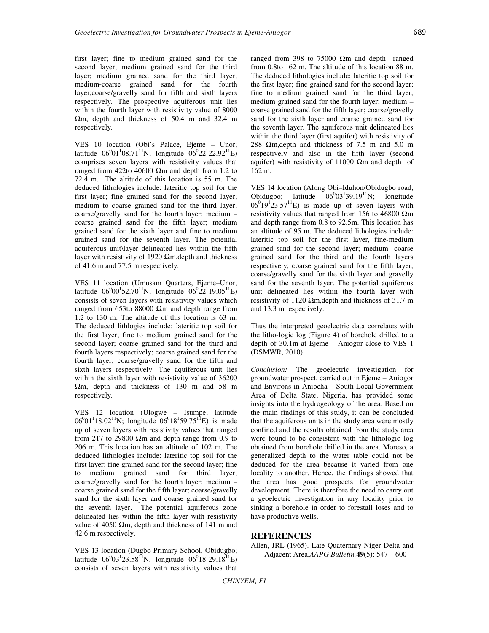first layer; fine to medium grained sand for the second layer; medium grained sand for the third layer; medium grained sand for the third layer; medium-coarse grained sand for the fourth layer;coarse/gravelly sand for fifth and sixth layers respectively. The prospective aquiferous unit lies within the fourth layer with resistivity value of 8000 Ωm, depth and thickness of 50.4 m and 32.4 m respectively.

VES 10 location (Obi's Palace, Ejeme – Unor; latitude  $06^{0}01^{1}08.71^{11}N$ ; longitude  $06^{0}22^{1}22.92^{11}E$ ) comprises seven layers with resistivity values that ranged from 422to 40600 Ωm and depth from 1.2 to 72.4 m. The altitude of this location is 55 m. The deduced lithologies include: lateritic top soil for the first layer; fine grained sand for the second layer; medium to coarse grained sand for the third layer; coarse/gravelly sand for the fourth layer; medium – coarse grained sand for the fifth layer; medium grained sand for the sixth layer and fine to medium grained sand for the seventh layer. The potential aquiferous unit\layer delineated lies within the fifth layer with resistivity of 1920  $\Omega$ m, depth and thickness of 41.6 m and 77.5 m respectively.

VES 11 location (Umusam Quarters, Ejeme–Unor; latitude  $06^{0}00^{1}52.70^{11}$ N; longitude  $06^{0}22^{1}19.05^{11}$ E) consists of seven layers with resistivity values which ranged from 653to 88000 Ωm and depth range from 1.2 to 130 m. The altitude of this location is 63 m. The deduced lithlogies include: lateritic top soil for the first layer; fine to medium grained sand for the second layer; coarse grained sand for the third and fourth layers respectively; coarse grained sand for the fourth layer; coarse/gravelly sand for the fifth and sixth layers respectively. The aquiferous unit lies within the sixth layer with resistivity value of 36200 Ωm, depth and thickness of 130 m and 58 m respectively.

VES 12 location (Ulogwe – Isumpe; latitude  $06^{0}01^{1}18.02^{11}N$ ; longitude  $06^{0}18^{1}59.75^{11}E$ ) is made up of seven layers with resistivity values that ranged from 217 to 29800  $\Omega$ m and depth range from 0.9 to 206 m. This location has an altitude of 102 m. The deduced lithologies include: lateritic top soil for the first layer; fine grained sand for the second layer; fine to medium grained sand for third layer; coarse/gravelly sand for the fourth layer; medium – coarse grained sand for the fifth layer; coarse/gravelly sand for the sixth layer and coarse grained sand for the seventh layer. The potential aquiferous zone delineated lies within the fifth layer with resistivity value of 4050 Ωm, depth and thickness of 141 m and 42.6 m respectively.

VES 13 location (Dugbo Primary School, Obidugbo; latitude  $06^{0}03^{1}23.58^{11}N$ , longitude  $06^{0}18^{1}29.18^{11}E$ ) consists of seven layers with resistivity values that

ranged from 398 to 75000  $Ωm$  and depth ranged from 0.8to 162 m. The altitude of this location 88 m. The deduced lithologies include: lateritic top soil for the first layer; fine grained sand for the second layer; fine to medium grained sand for the third layer; medium grained sand for the fourth layer; medium – coarse grained sand for the fifth layer; coarse/gravelly sand for the sixth layer and coarse grained sand for the seventh layer. The aquiferous unit delineated lies within the third layer (first aquifer) with resistivity of 288  $\Omega$ m, depth and thickness of 7.5 m and 5.0 m respectively and also in the fifth layer (second aquifer) with resistivity of 11000  $\Omega$ m and depth of 162 m.

VES 14 location (Along Obi–Iduhon/Obidugbo road, Obidugbo; latitude  $06^{0}03^{1}39.19^{11}N$ ; longitude  $06^{0}19^{12}23.57^{11}E$ ) is made up of seven layers with resistivity values that ranged from 156 to 46800  $\Omega$ m and depth range from 0.8 to 92.5m. This location has an altitude of 95 m. The deduced lithologies include: lateritic top soil for the first layer, fine-medium grained sand for the second layer; medium- coarse grained sand for the third and the fourth layers respectively; coarse grained sand for the fifth layer; coarse/gravelly sand for the sixth layer and gravelly sand for the seventh layer. The potential aquiferous unit delineated lies within the fourth layer with resistivity of 1120  $\Omega$ m, depth and thickness of 31.7 m and 13.3 m respectively.

Thus the interpreted geoelectric data correlates with the litho-logic log (Figure 4) of borehole drilled to a depth of 30.1m at Ejeme – Aniogor close to VES 1 (DSMWR, 2010).

*Conclusion:* The geoelectric investigation for groundwater prospect, carried out in Ejeme – Aniogor and Environs in Aniocha – South Local Government Area of Delta State, Nigeria, has provided some insights into the hydrogeology of the area*.* Based on the main findings of this study, it can be concluded that the aquiferous units in the study area were mostly confined and the results obtained from the study area were found to be consistent with the lithologic log obtained from borehole drilled in the area. Moreso, a generalized depth to the water table could not be deduced for the area because it varied from one locality to another. Hence, the findings showed that the area has good prospects for groundwater development. There is therefore the need to carry out a geoelectric investigation in any locality prior to sinking a borehole in order to forestall loses and to have productive wells.

### **REFERENCES**

Allen, JRL (1965). Late Quaternary Niger Delta and Adjacent Area.*AAPG Bulletin.***49**(5): 547 – 600